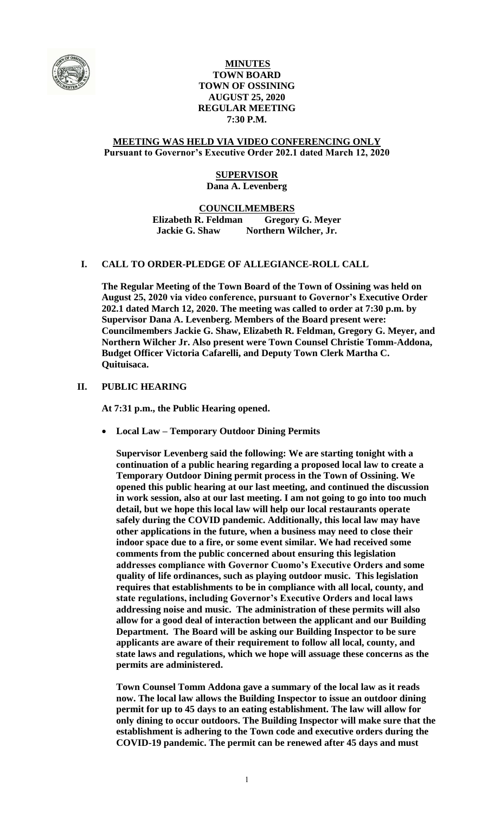

# **MINUTES TOWN BOARD TOWN OF OSSINING AUGUST 25, 2020 REGULAR MEETING 7:30 P.M.**

### **MEETING WAS HELD VIA VIDEO CONFERENCING ONLY Pursuant to Governor's Executive Order 202.1 dated March 12, 2020**

# **SUPERVISOR Dana A. Levenberg**

### **COUNCILMEMBERS Elizabeth R. Feldman Gregory G. Meyer Jackie G. Shaw Northern Wilcher, Jr.**

# **I. CALL TO ORDER-PLEDGE OF ALLEGIANCE-ROLL CALL**

**The Regular Meeting of the Town Board of the Town of Ossining was held on August 25, 2020 via video conference, pursuant to Governor's Executive Order 202.1 dated March 12, 2020. The meeting was called to order at 7:30 p.m. by Supervisor Dana A. Levenberg. Members of the Board present were: Councilmembers Jackie G. Shaw, Elizabeth R. Feldman, Gregory G. Meyer, and Northern Wilcher Jr. Also present were Town Counsel Christie Tomm-Addona, Budget Officer Victoria Cafarelli, and Deputy Town Clerk Martha C. Quituisaca.**

## **II. PUBLIC HEARING**

**At 7:31 p.m., the Public Hearing opened.**

**Local Law – Temporary Outdoor Dining Permits**

**Supervisor Levenberg said the following: We are starting tonight with a continuation of a public hearing regarding a proposed local law to create a Temporary Outdoor Dining permit process in the Town of Ossining. We opened this public hearing at our last meeting, and continued the discussion in work session, also at our last meeting. I am not going to go into too much detail, but we hope this local law will help our local restaurants operate safely during the COVID pandemic. Additionally, this local law may have other applications in the future, when a business may need to close their indoor space due to a fire, or some event similar. We had received some comments from the public concerned about ensuring this legislation addresses compliance with Governor Cuomo's Executive Orders and some quality of life ordinances, such as playing outdoor music. This legislation requires that establishments to be in compliance with all local, county, and state regulations, including Governor's Executive Orders and local laws addressing noise and music. The administration of these permits will also allow for a good deal of interaction between the applicant and our Building Department. The Board will be asking our Building Inspector to be sure applicants are aware of their requirement to follow all local, county, and state laws and regulations, which we hope will assuage these concerns as the permits are administered.**

**Town Counsel Tomm Addona gave a summary of the local law as it reads now. The local law allows the Building Inspector to issue an outdoor dining permit for up to 45 days to an eating establishment. The law will allow for only dining to occur outdoors. The Building Inspector will make sure that the establishment is adhering to the Town code and executive orders during the COVID-19 pandemic. The permit can be renewed after 45 days and must**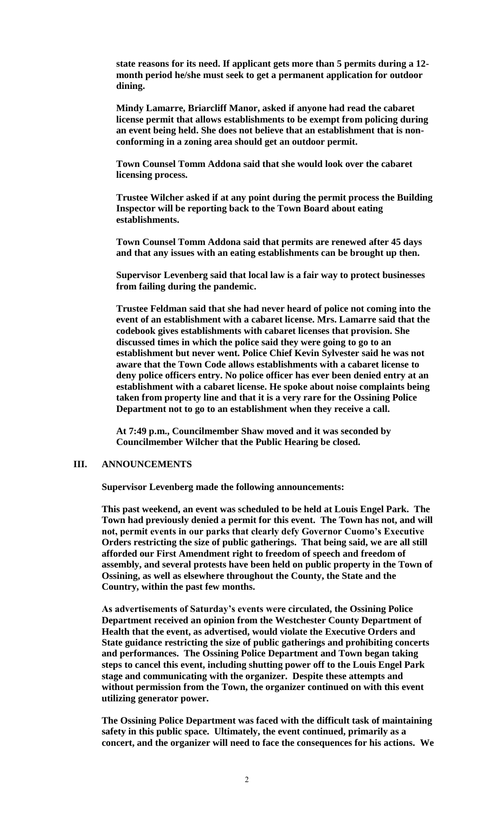**state reasons for its need. If applicant gets more than 5 permits during a 12 month period he/she must seek to get a permanent application for outdoor dining.**

**Mindy Lamarre, Briarcliff Manor, asked if anyone had read the cabaret license permit that allows establishments to be exempt from policing during an event being held. She does not believe that an establishment that is nonconforming in a zoning area should get an outdoor permit.** 

**Town Counsel Tomm Addona said that she would look over the cabaret licensing process.**

**Trustee Wilcher asked if at any point during the permit process the Building Inspector will be reporting back to the Town Board about eating establishments.**

**Town Counsel Tomm Addona said that permits are renewed after 45 days and that any issues with an eating establishments can be brought up then.** 

**Supervisor Levenberg said that local law is a fair way to protect businesses from failing during the pandemic.**

**Trustee Feldman said that she had never heard of police not coming into the event of an establishment with a cabaret license. Mrs. Lamarre said that the codebook gives establishments with cabaret licenses that provision. She discussed times in which the police said they were going to go to an establishment but never went. Police Chief Kevin Sylvester said he was not aware that the Town Code allows establishments with a cabaret license to deny police officers entry. No police officer has ever been denied entry at an establishment with a cabaret license. He spoke about noise complaints being taken from property line and that it is a very rare for the Ossining Police Department not to go to an establishment when they receive a call.** 

**At 7:49 p.m., Councilmember Shaw moved and it was seconded by Councilmember Wilcher that the Public Hearing be closed.**

### **III. ANNOUNCEMENTS**

**Supervisor Levenberg made the following announcements:** 

**This past weekend, an event was scheduled to be held at Louis Engel Park. The Town had previously denied a permit for this event. The Town has not, and will not, permit events in our parks that clearly defy Governor Cuomo's Executive Orders restricting the size of public gatherings. That being said, we are all still afforded our First Amendment right to freedom of speech and freedom of assembly, and several protests have been held on public property in the Town of Ossining, as well as elsewhere throughout the County, the State and the Country, within the past few months.** 

**As advertisements of Saturday's events were circulated, the Ossining Police Department received an opinion from the Westchester County Department of Health that the event, as advertised, would violate the Executive Orders and State guidance restricting the size of public gatherings and prohibiting concerts and performances. The Ossining Police Department and Town began taking steps to cancel this event, including shutting power off to the Louis Engel Park stage and communicating with the organizer. Despite these attempts and without permission from the Town, the organizer continued on with this event utilizing generator power.** 

**The Ossining Police Department was faced with the difficult task of maintaining safety in this public space. Ultimately, the event continued, primarily as a concert, and the organizer will need to face the consequences for his actions. We**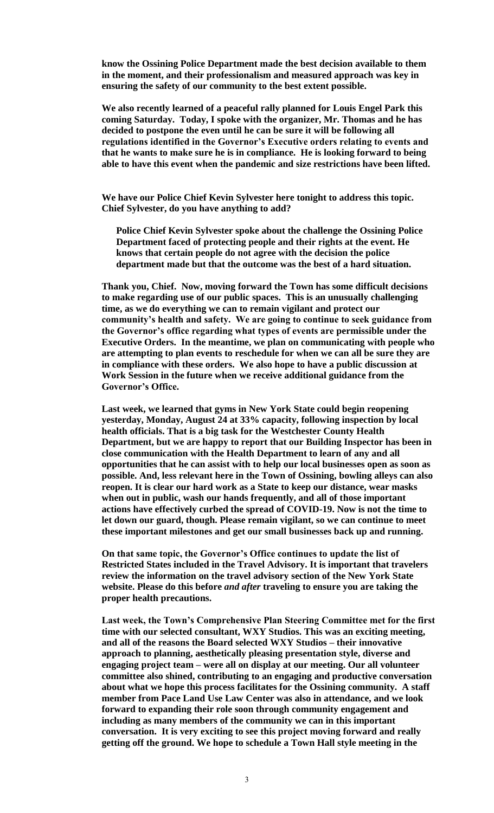**know the Ossining Police Department made the best decision available to them in the moment, and their professionalism and measured approach was key in ensuring the safety of our community to the best extent possible.** 

**We also recently learned of a peaceful rally planned for Louis Engel Park this coming Saturday. Today, I spoke with the organizer, Mr. Thomas and he has decided to postpone the even until he can be sure it will be following all regulations identified in the Governor's Executive orders relating to events and that he wants to make sure he is in compliance. He is looking forward to being able to have this event when the pandemic and size restrictions have been lifted.**

**We have our Police Chief Kevin Sylvester here tonight to address this topic. Chief Sylvester, do you have anything to add?** 

**Police Chief Kevin Sylvester spoke about the challenge the Ossining Police Department faced of protecting people and their rights at the event. He knows that certain people do not agree with the decision the police department made but that the outcome was the best of a hard situation.**

**Thank you, Chief. Now, moving forward the Town has some difficult decisions to make regarding use of our public spaces. This is an unusually challenging time, as we do everything we can to remain vigilant and protect our community's health and safety. We are going to continue to seek guidance from the Governor's office regarding what types of events are permissible under the Executive Orders. In the meantime, we plan on communicating with people who are attempting to plan events to reschedule for when we can all be sure they are in compliance with these orders. We also hope to have a public discussion at Work Session in the future when we receive additional guidance from the Governor's Office.** 

**Last week, we learned that gyms in New York State could begin reopening yesterday, Monday, August 24 at 33% capacity, following inspection by local health officials. That is a big task for the Westchester County Health Department, but we are happy to report that our Building Inspector has been in close communication with the Health Department to learn of any and all opportunities that he can assist with to help our local businesses open as soon as possible. And, less relevant here in the Town of Ossining, bowling alleys can also reopen. It is clear our hard work as a State to keep our distance, wear masks when out in public, wash our hands frequently, and all of those important actions have effectively curbed the spread of COVID-19. Now is not the time to let down our guard, though. Please remain vigilant, so we can continue to meet these important milestones and get our small businesses back up and running.** 

**On that same topic, the Governor's Office continues to update the list of Restricted States included in the Travel Advisory. It is important that travelers review the information on the travel advisory section of the New York State website. Please do this before** *and after* **traveling to ensure you are taking the proper health precautions.** 

**Last week, the Town's Comprehensive Plan Steering Committee met for the first time with our selected consultant, WXY Studios. This was an exciting meeting, and all of the reasons the Board selected WXY Studios – their innovative approach to planning, aesthetically pleasing presentation style, diverse and engaging project team – were all on display at our meeting. Our all volunteer committee also shined, contributing to an engaging and productive conversation about what we hope this process facilitates for the Ossining community. A staff member from Pace Land Use Law Center was also in attendance, and we look forward to expanding their role soon through community engagement and including as many members of the community we can in this important conversation. It is very exciting to see this project moving forward and really getting off the ground. We hope to schedule a Town Hall style meeting in the**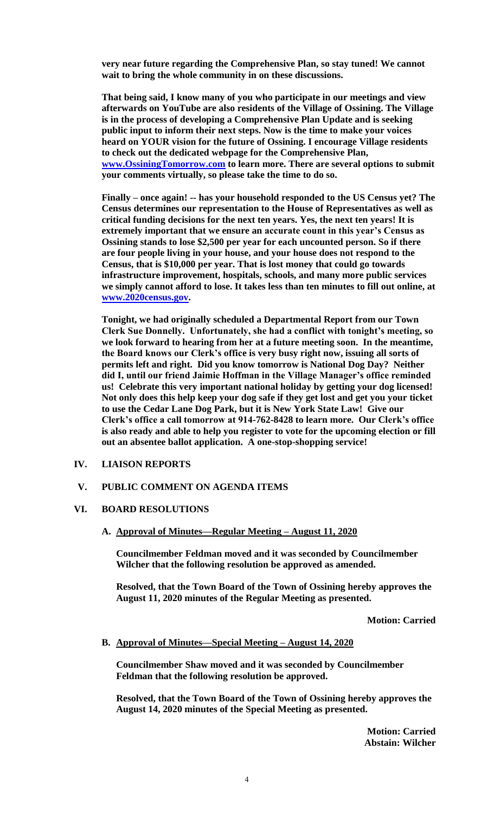**very near future regarding the Comprehensive Plan, so stay tuned! We cannot wait to bring the whole community in on these discussions.** 

**That being said, I know many of you who participate in our meetings and view afterwards on YouTube are also residents of the Village of Ossining. The Village is in the process of developing a Comprehensive Plan Update and is seeking public input to inform their next steps. Now is the time to make your voices heard on YOUR vision for the future of Ossining. I encourage Village residents to check out the dedicated webpage for the Comprehensive Plan, [www.OssiningTomorrow.com](http://www.ossiningtomorrow.com/) to learn more. There are several options to submit your comments virtually, so please take the time to do so.** 

**Finally – once again! -- has your household responded to the US Census yet? The Census determines our representation to the House of Representatives as well as critical funding decisions for the next ten years. Yes, the next ten years! It is extremely important that we ensure an accurate count in this year's Census as Ossining stands to lose \$2,500 per year for each uncounted person. So if there are four people living in your house, and your house does not respond to the Census, that is \$10,000 per year. That is lost money that could go towards infrastructure improvement, hospitals, schools, and many more public services we simply cannot afford to lose. It takes less than ten minutes to fill out online, at [www.2020census.gov.](http://www.2020census.gov/)** 

**Tonight, we had originally scheduled a Departmental Report from our Town Clerk Sue Donnelly. Unfortunately, she had a conflict with tonight's meeting, so we look forward to hearing from her at a future meeting soon. In the meantime, the Board knows our Clerk's office is very busy right now, issuing all sorts of permits left and right. Did you know tomorrow is National Dog Day? Neither did I, until our friend Jaimie Hoffman in the Village Manager's office reminded us! Celebrate this very important national holiday by getting your dog licensed! Not only does this help keep your dog safe if they get lost and get you your ticket to use the Cedar Lane Dog Park, but it is New York State Law! Give our Clerk's office a call tomorrow at 914-762-8428 to learn more. Our Clerk's office is also ready and able to help you register to vote for the upcoming election or fill out an absentee ballot application. A one-stop-shopping service!** 

### **IV. LIAISON REPORTS**

# **V. PUBLIC COMMENT ON AGENDA ITEMS**

#### **VI. BOARD RESOLUTIONS**

**A. Approval of Minutes—Regular Meeting – August 11, 2020**

**Councilmember Feldman moved and it was seconded by Councilmember Wilcher that the following resolution be approved as amended.**

**Resolved, that the Town Board of the Town of Ossining hereby approves the August 11, 2020 minutes of the Regular Meeting as presented.**

**Motion: Carried**

#### **B. Approval of Minutes—Special Meeting – August 14, 2020**

**Councilmember Shaw moved and it was seconded by Councilmember Feldman that the following resolution be approved.**

**Resolved, that the Town Board of the Town of Ossining hereby approves the August 14, 2020 minutes of the Special Meeting as presented.**

> **Motion: Carried Abstain: Wilcher**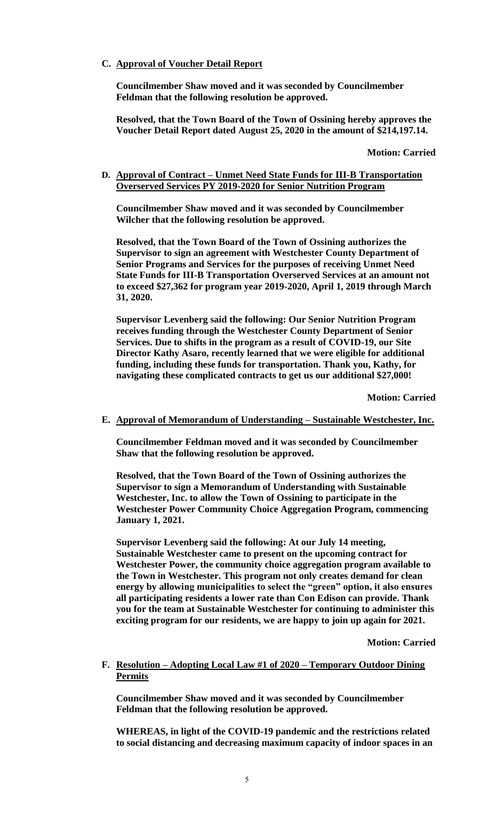**C. Approval of Voucher Detail Report**

**Councilmember Shaw moved and it was seconded by Councilmember Feldman that the following resolution be approved.**

**Resolved, that the Town Board of the Town of Ossining hereby approves the Voucher Detail Report dated August 25, 2020 in the amount of \$214,197.14.**

**Motion: Carried**

### **D. Approval of Contract – Unmet Need State Funds for III-B Transportation Overserved Services PY 2019-2020 for Senior Nutrition Program**

**Councilmember Shaw moved and it was seconded by Councilmember Wilcher that the following resolution be approved.**

**Resolved, that the Town Board of the Town of Ossining authorizes the Supervisor to sign an agreement with Westchester County Department of Senior Programs and Services for the purposes of receiving Unmet Need State Funds for III-B Transportation Overserved Services at an amount not to exceed \$27,362 for program year 2019-2020, April 1, 2019 through March 31, 2020.** 

**Supervisor Levenberg said the following: Our Senior Nutrition Program receives funding through the Westchester County Department of Senior Services. Due to shifts in the program as a result of COVID-19, our Site Director Kathy Asaro, recently learned that we were eligible for additional funding, including these funds for transportation. Thank you, Kathy, for navigating these complicated contracts to get us our additional \$27,000!** 

**Motion: Carried**

### **E. Approval of Memorandum of Understanding – Sustainable Westchester, Inc.**

**Councilmember Feldman moved and it was seconded by Councilmember Shaw that the following resolution be approved.**

**Resolved, that the Town Board of the Town of Ossining authorizes the Supervisor to sign a Memorandum of Understanding with Sustainable Westchester, Inc. to allow the Town of Ossining to participate in the Westchester Power Community Choice Aggregation Program, commencing January 1, 2021.** 

**Supervisor Levenberg said the following: At our July 14 meeting, Sustainable Westchester came to present on the upcoming contract for Westchester Power, the community choice aggregation program available to the Town in Westchester. This program not only creates demand for clean energy by allowing municipalities to select the "green" option, it also ensures all participating residents a lower rate than Con Edison can provide. Thank you for the team at Sustainable Westchester for continuing to administer this exciting program for our residents, we are happy to join up again for 2021.**

**Motion: Carried**

## **F. Resolution – Adopting Local Law #1 of 2020 – Temporary Outdoor Dining Permits**

**Councilmember Shaw moved and it was seconded by Councilmember Feldman that the following resolution be approved.**

**WHEREAS, in light of the COVID-19 pandemic and the restrictions related to social distancing and decreasing maximum capacity of indoor spaces in an**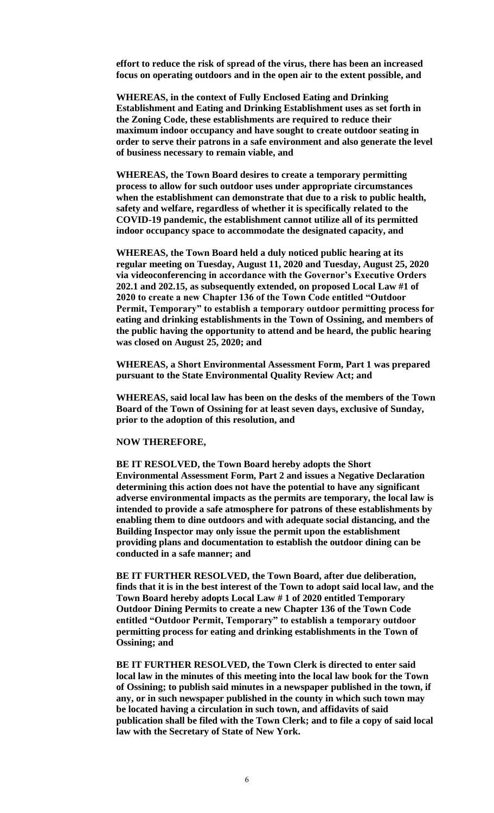**effort to reduce the risk of spread of the virus, there has been an increased focus on operating outdoors and in the open air to the extent possible, and**

**WHEREAS, in the context of Fully Enclosed Eating and Drinking Establishment and Eating and Drinking Establishment uses as set forth in the Zoning Code, these establishments are required to reduce their maximum indoor occupancy and have sought to create outdoor seating in order to serve their patrons in a safe environment and also generate the level of business necessary to remain viable, and**

**WHEREAS, the Town Board desires to create a temporary permitting process to allow for such outdoor uses under appropriate circumstances when the establishment can demonstrate that due to a risk to public health, safety and welfare, regardless of whether it is specifically related to the COVID-19 pandemic, the establishment cannot utilize all of its permitted indoor occupancy space to accommodate the designated capacity, and**

**WHEREAS, the Town Board held a duly noticed public hearing at its regular meeting on Tuesday, August 11, 2020 and Tuesday, August 25, 2020 via videoconferencing in accordance with the Governor's Executive Orders 202.1 and 202.15, as subsequently extended, on proposed Local Law #1 of 2020 to create a new Chapter 136 of the Town Code entitled "Outdoor Permit, Temporary" to establish a temporary outdoor permitting process for eating and drinking establishments in the Town of Ossining, and members of the public having the opportunity to attend and be heard, the public hearing was closed on August 25, 2020; and**

**WHEREAS, a Short Environmental Assessment Form, Part 1 was prepared pursuant to the State Environmental Quality Review Act; and**

**WHEREAS, said local law has been on the desks of the members of the Town Board of the Town of Ossining for at least seven days, exclusive of Sunday, prior to the adoption of this resolution, and**

#### **NOW THEREFORE,**

**BE IT RESOLVED, the Town Board hereby adopts the Short Environmental Assessment Form, Part 2 and issues a Negative Declaration determining this action does not have the potential to have any significant adverse environmental impacts as the permits are temporary, the local law is intended to provide a safe atmosphere for patrons of these establishments by enabling them to dine outdoors and with adequate social distancing, and the Building Inspector may only issue the permit upon the establishment providing plans and documentation to establish the outdoor dining can be conducted in a safe manner; and**

**BE IT FURTHER RESOLVED, the Town Board, after due deliberation, finds that it is in the best interest of the Town to adopt said local law, and the Town Board hereby adopts Local Law # 1 of 2020 entitled Temporary Outdoor Dining Permits to create a new Chapter 136 of the Town Code entitled "Outdoor Permit, Temporary" to establish a temporary outdoor permitting process for eating and drinking establishments in the Town of Ossining; and** 

**BE IT FURTHER RESOLVED, the Town Clerk is directed to enter said local law in the minutes of this meeting into the local law book for the Town of Ossining; to publish said minutes in a newspaper published in the town, if any, or in such newspaper published in the county in which such town may be located having a circulation in such town, and affidavits of said publication shall be filed with the Town Clerk; and to file a copy of said local law with the Secretary of State of New York.**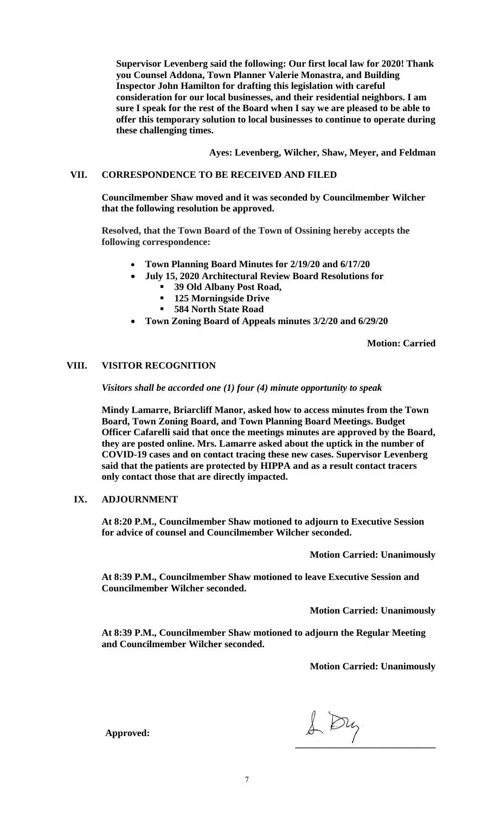**Supervisor Levenberg said the following: Our first local law for 2020! Thank you Counsel Addona, Town Planner Valerie Monastra, and Building Inspector John Hamilton for drafting this legislation with careful consideration for our local businesses, and their residential neighbors. I am sure I speak for the rest of the Board when I say we are pleased to be able to offer this temporary solution to local businesses to continue to operate during these challenging times.**

**Ayes: Levenberg, Wilcher, Shaw, Meyer, and Feldman**

## **VII. CORRESPONDENCE TO BE RECEIVED AND FILED**

**Councilmember Shaw moved and it was seconded by Councilmember Wilcher that the following resolution be approved.**

**Resolved, that the Town Board of the Town of Ossining hereby accepts the following correspondence:**

- **Town Planning Board Minutes for 2/19/20 and 6/17/20**
- **July 15, 2020 Architectural Review Board Resolutions for** 
	- **39 Old Albany Post Road,**
	- **125 Morningside Drive**
	- **584 North State Road**
- **Town Zoning Board of Appeals minutes 3/2/20 and 6/29/20**

**Motion: Carried**

### **VIII. VISITOR RECOGNITION**

*Visitors shall be accorded one (1) four (4) minute opportunity to speak*

**Mindy Lamarre, Briarcliff Manor, asked how to access minutes from the Town Board, Town Zoning Board, and Town Planning Board Meetings. Budget Officer Cafarelli said that once the meetings minutes are approved by the Board, they are posted online. Mrs. Lamarre asked about the uptick in the number of COVID-19 cases and on contact tracing these new cases. Supervisor Levenberg said that the patients are protected by HIPPA and as a result contact tracers only contact those that are directly impacted.**

#### **IX. ADJOURNMENT**

**At 8:20 P.M., Councilmember Shaw motioned to adjourn to Executive Session for advice of counsel and Councilmember Wilcher seconded.** 

**Motion Carried: Unanimously**

**At 8:39 P.M., Councilmember Shaw motioned to leave Executive Session and Councilmember Wilcher seconded.**

**Motion Carried: Unanimously**

**At 8:39 P.M., Councilmember Shaw motioned to adjourn the Regular Meeting and Councilmember Wilcher seconded.** 

**Motion Carried: Unanimously**

1 Dy *<u>E*</u>

**Approved:**